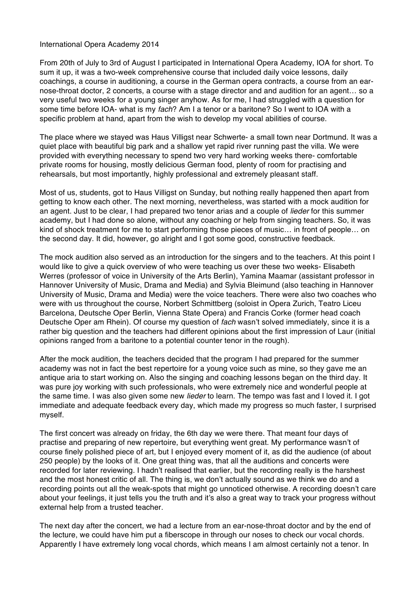## International Opera Academy 2014

From 20th of July to 3rd of August I participated in International Opera Academy, IOA for short. To sum it up, it was a two-week comprehensive course that included daily voice lessons, daily coachings, a course in auditioning, a course in the German opera contracts, a course from an earnose-throat doctor, 2 concerts, a course with a stage director and and audition for an agent… so a very useful two weeks for a young singer anyhow. As for me, I had struggled with a question for some time before IOA- what is my *fach*? Am I a tenor or a baritone? So I went to IOA with a specific problem at hand, apart from the wish to develop my vocal abilities of course.

The place where we stayed was Haus Villigst near Schwerte- a small town near Dortmund. It was a quiet place with beautiful big park and a shallow yet rapid river running past the villa. We were provided with everything necessary to spend two very hard working weeks there- comfortable private rooms for housing, mostly delicious German food, plenty of room for practising and rehearsals, but most importantly, highly professional and extremely pleasant staff.

Most of us, students, got to Haus Villigst on Sunday, but nothing really happened then apart from getting to know each other. The next morning, nevertheless, was started with a mock audition for an agent. Just to be clear, I had prepared two tenor arias and a couple of *lieder* for this summer academy, but I had done so alone, without any coaching or help from singing teachers. So, it was kind of shock treatment for me to start performing those pieces of music… in front of people… on the second day. It did, however, go alright and I got some good, constructive feedback.

The mock audition also served as an introduction for the singers and to the teachers. At this point I would like to give a quick overview of who were teaching us over these two weeks- Elisabeth Werres (professor of voice in University of the Arts Berlin), Yamina Maamar (assistant professor in Hannover University of Music, Drama and Media) and Sylvia Bleimund (also teaching in Hannover University of Music, Drama and Media) were the voice teachers. There were also two coaches who were with us throughout the course, Norbert Schmittberg (soloist in Opera Zurich, Teatro Liceu Barcelona, Deutsche Oper Berlin, Vienna State Opera) and Francis Corke (former head coach Deutsche Oper am Rhein). Of course my question of *fach* wasn't solved immediately, since it is a rather big question and the teachers had different opinions about the first impression of Laur (initial opinions ranged from a baritone to a potential counter tenor in the rough).

After the mock audition, the teachers decided that the program I had prepared for the summer academy was not in fact the best repertoire for a young voice such as mine, so they gave me an antique aria to start working on. Also the singing and coaching lessons began on the third day. It was pure joy working with such professionals, who were extremely nice and wonderful people at the same time. I was also given some new *lieder* to learn. The tempo was fast and I loved it. I got immediate and adequate feedback every day, which made my progress so much faster, I surprised myself.

The first concert was already on friday, the 6th day we were there. That meant four days of practise and preparing of new repertoire, but everything went great. My performance wasn't of course finely polished piece of art, but I enjoyed every moment of it, as did the audience (of about 250 people) by the looks of it. One great thing was, that all the auditions and concerts were recorded for later reviewing. I hadn't realised that earlier, but the recording really is the harshest and the most honest critic of all. The thing is, we don't actually sound as we think we do and a recording points out all the weak-spots that might go unnoticed otherwise. A recording doesn't care about your feelings, it just tells you the truth and it's also a great way to track your progress without external help from a trusted teacher.

The next day after the concert, we had a lecture from an ear-nose-throat doctor and by the end of the lecture, we could have him put a fiberscope in through our noses to check our vocal chords. Apparently I have extremely long vocal chords, which means I am almost certainly not a tenor. In